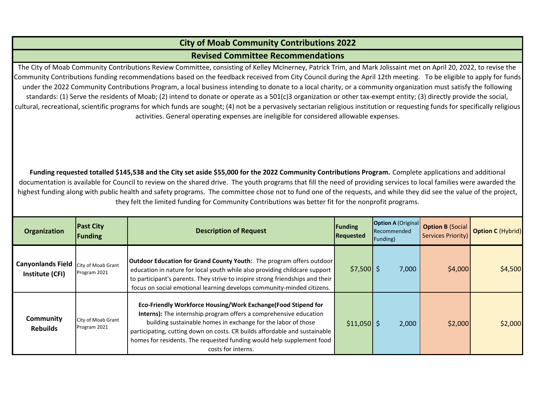## **City of Moab Community Contributions 2022**

**Revised Committee Recommendations**

The City of Moab Community Contributions Review Committee, consisting of Kelley McInerney, Patrick Trim, and Mark Jolissaint met on April 20, 2022, to revise the Community Contributions funding recommendations based on the feedback received from City Council during the April 12th meeting. To be eligible to apply for funds under the 2022 Community Contributions Program, <sup>a</sup> local business intending to donate to <sup>a</sup> local charity, or <sup>a</sup> community organization must satisfy the following standards: (1) Serve the residents of Moab; (2) intend to donate or operate as <sup>a</sup> 501(c)3 organization or other tax‐exempt entity; (3) directly provide the social, cultural, recreational, scientific programs for which funds are sought; (4) not be <sup>a</sup> pervasively sectarian religious institution or requesting funds for specifically religious activities. General operating expenses are ineligible for considered allowable expenses.

Funding requested totalled \$145,538 and the City set aside \$55,000 for the 2022 Community Contributions Program. Complete applications and additional documentation is available for Council to review on the shared drive. The youth programs that fill the need of providing services to local families were awarded the highest funding along with public health and safety programs. The committee chose not to fund one of the requests, and while they did see the value of the project, they felt the limited funding for Community Contributions was better fit for the nonprofit programs.

| <b>Organization</b>                         | <b>Past City</b><br>Funding        | <b>Description of Request</b>                                                                                                                                                                                                                                                                                                                                                    | Funding<br>Requested | <b>Option A (Original</b><br><b>Recommended</b><br>Funding) | <b>Option B (Social  </b><br>Services Priority) | <b>Option C (Hybrid)</b> |
|---------------------------------------------|------------------------------------|----------------------------------------------------------------------------------------------------------------------------------------------------------------------------------------------------------------------------------------------------------------------------------------------------------------------------------------------------------------------------------|----------------------|-------------------------------------------------------------|-------------------------------------------------|--------------------------|
| <b>Canyonlands Field</b><br>Institute (CFI) | City of Moab Grant<br>Program 2021 | Outdoor Education for Grand County Youth: The program offers outdoor<br>education in nature for local youth while also providing childcare support<br>to participant's parents. They strive to inspire strong friendships and their<br>focus on social emotional learning develops community-minded citizens.                                                                    | $$7,500$ \$          | 7,000                                                       | \$4,000                                         | \$4,500                  |
| Community<br><b>Rebuilds</b>                | City of Moab Grant<br>Program 2021 | Eco-Friendly Workforce Housing/Work Exchange(Food Stipend for<br>Interns): The internship program offers a comprehensive education<br>building sustainable homes in exchange for the labor of those<br>participating, cutting down on costs. CR builds affordable and sustainable<br>homes for residents. The requested funding would help supplement food<br>costs for interns. | $$11,050$ \$         | 2,000                                                       | \$2,000                                         | \$2,000                  |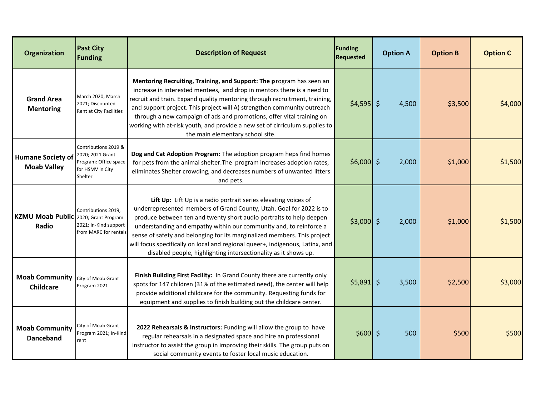| Organization                                   | <b>Past City</b><br><b>Funding</b>                                                               | <b>Description of Request</b>                                                                                                                                                                                                                                                                                                                                                                                                                                                                                       | Funding<br><b>Requested</b> | <b>Option A</b> | <b>Option B</b> | <b>Option C</b> |
|------------------------------------------------|--------------------------------------------------------------------------------------------------|---------------------------------------------------------------------------------------------------------------------------------------------------------------------------------------------------------------------------------------------------------------------------------------------------------------------------------------------------------------------------------------------------------------------------------------------------------------------------------------------------------------------|-----------------------------|-----------------|-----------------|-----------------|
| <b>Grand Area</b><br><b>Mentoring</b>          | March 2020; March<br>2021; Discounted<br>Rent at City Facilities                                 | Mentoring Recruiting, Training, and Support: The program has seen an<br>increase in interested mentees, and drop in mentors there is a need to<br>recruit and train. Expand quality mentoring through recruitment, training,<br>and support project. This project will A) strengthen community outreach<br>through a new campaign of ads and promotions, offer vital training on<br>working with at-risk youth, and provide a new set of cirriculum supplies to<br>the main elementary school site.                 | $$4,595$ \$                 | 4,500           | \$3,500         | \$4,000         |
| <b>Humane Society of</b><br><b>Moab Valley</b> | Contributions 2019 &<br>2020; 2021 Grant<br>Program: Office space<br>for HSMV in City<br>Shelter | Dog and Cat Adoption Program: The adoption program heps find homes<br>for pets from the animal shelter. The program increases adoption rates,<br>eliminates Shelter crowding, and decreases numbers of unwanted litters<br>and pets.                                                                                                                                                                                                                                                                                | $$6,000$ \$                 | 2,000           | \$1,000         | \$1,500         |
| <b>KZMU Moab Public</b><br>Radio               | Contributions 2019.<br>2020; Grant Program<br>2021; In-Kind support<br>from MARC for rentals     | Lift Up: Lift Up is a radio portrait series elevating voices of<br>underrepresented members of Grand County, Utah. Goal for 2022 is to<br>produce between ten and twenty short audio portraits to help deepen<br>understanding and empathy within our community and, to reinforce a<br>sense of safety and belonging for its marginalized members. This project<br>will focus specifically on local and regional queer+, indigenous, Latinx, and<br>disabled people, highlighting intersectionality as it shows up. | $$3,000$ \$                 | 2,000           | \$1,000         | \$1,500         |
| <b>Moab Community</b><br><b>Childcare</b>      | City of Moab Grant<br>Program 2021                                                               | Finish Building First Facility: In Grand County there are currently only<br>spots for 147 children (31% of the estimated need), the center will help<br>provide additional childcare for the community. Requesting funds for<br>equipment and supplies to finish building out the childcare center.                                                                                                                                                                                                                 | $$5,891$ \$                 | 3,500           | \$2,500         | \$3,000         |
| <b>Moab Community</b><br><b>Danceband</b>      | City of Moab Grant<br>Program 2021; In-Kind<br>rent                                              | 2022 Rehearsals & Instructors: Funding will allow the group to have<br>regular rehearsals in a designated space and hire an professional<br>instructor to assist the group in improving their skills. The group puts on<br>social community events to foster local music education.                                                                                                                                                                                                                                 | $$600$ \$                   | 500             | \$500           | \$500           |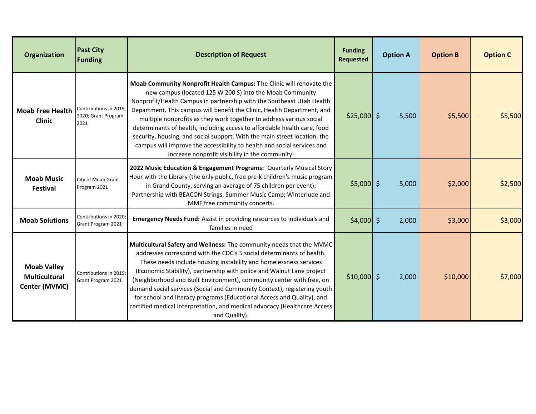| <b>Organization</b>                                         | <b>Past City</b><br><b>Funding</b>                   | <b>Description of Request</b>                                                                                                                                                                                                                                                                                                                                                                                                                                                                                                                                                                                                                      | <b>Funding</b><br><b>Requested</b> | <b>Option A</b> | <b>Option B</b> | <b>Option C</b> |
|-------------------------------------------------------------|------------------------------------------------------|----------------------------------------------------------------------------------------------------------------------------------------------------------------------------------------------------------------------------------------------------------------------------------------------------------------------------------------------------------------------------------------------------------------------------------------------------------------------------------------------------------------------------------------------------------------------------------------------------------------------------------------------------|------------------------------------|-----------------|-----------------|-----------------|
| <b>Moab Free Health</b><br><b>Clinic</b>                    | Contributions in 2019<br>2020; Grant Program<br>2021 | Moab Community Nonprofit Health Campus: The Clinic will renovate the<br>new campus (located 125 W 200 S) into the Moab Community<br>Nonprofit/Health Campus in partnership with the Southeast Utah Health<br>Department. This campus will benefit the Clinic, Health Department, and<br>multiple nonprofits as they work together to address various social<br>determinants of health, including access to affordable health care, food<br>security, housing, and social support. With the main street location, the<br>campus will improve the accessibility to health and social services and<br>increase nonprofit visibility in the community. | $$25,000$ \$                       | 5,500           | \$5,500         | \$5,500         |
| <b>Moab Music</b><br>Festival                               | City of Moab Grant<br>Program 2021                   | 2022 Music Education & Engagement Programs: Quarterly Musical Story<br>Hour with the Library (the only public, free pre-k children's music program<br>in Grand County, serving an average of 75 children per event);<br>Partnership with BEACON Strings, Summer Music Camp; Winterlude and<br>MMF free community concerts.                                                                                                                                                                                                                                                                                                                         | $$5,000$ \$                        | 5,000           | \$2,000         | \$2,500         |
| <b>Moab Solutions</b>                                       | Contributions in 2020:<br>Grant Program 2021         | Emergency Needs Fund: Assist in providing resources to individuals and<br>families in need                                                                                                                                                                                                                                                                                                                                                                                                                                                                                                                                                         | $$4,000$ \$                        | 2,000           | \$3,000         | \$3,000         |
| <b>Moab Valley</b><br><b>Multicultural</b><br>Center (MVMC) | Contributions in 2019;<br>Grant Program 2021         | Multicultural Safety and Wellness: The community needs that the MVMC<br>addresses correspond with the CDC's 5 social determinants of health.<br>These needs include housing instability and homelessness services<br>(Economic Stability), partnership with police and Walnut Lane project<br>(Neighborhood and Built Environment), community center with free, on<br>demand social services (Social and Community Context), registering youth<br>for school and literacy programs (Educational Access and Quality), and<br>certified medical interpretation, and medical advocacy (Healthcare Access<br>and Quality).                             | $$10,000$ \$                       | 2,000           | \$10,000        | \$7,000         |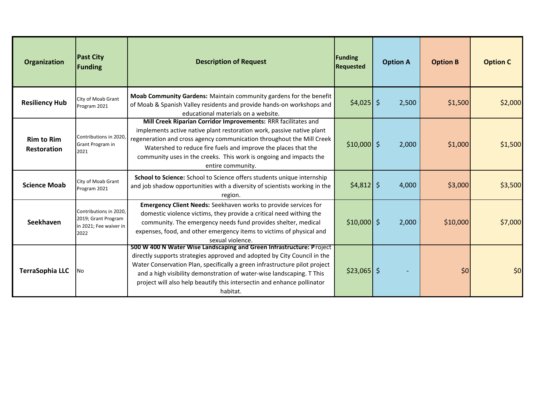| Organization                            | <b>Past City</b><br><b>Funding</b>                                              | <b>Description of Request</b>                                                                                                                                                                                                                                                                                                                                                                  | Funding<br><b>Requested</b> | <b>Option A</b> | <b>Option B</b> | <b>Option C</b> |
|-----------------------------------------|---------------------------------------------------------------------------------|------------------------------------------------------------------------------------------------------------------------------------------------------------------------------------------------------------------------------------------------------------------------------------------------------------------------------------------------------------------------------------------------|-----------------------------|-----------------|-----------------|-----------------|
| <b>Resiliency Hub</b>                   | City of Moab Grant<br>Program 2021                                              | Moab Community Gardens: Maintain community gardens for the benefit<br>of Moab & Spanish Valley residents and provide hands-on workshops and<br>educational materials on a website.                                                                                                                                                                                                             | $$4,025$ \$                 | 2,500           | \$1,500         | \$2,000         |
| <b>Rim to Rim</b><br><b>Restoration</b> | Contributions in 2020,<br>Grant Program in<br>2021                              | Mill Creek Riparian Corridor Improvements: RRR facilitates and<br>implements active native plant restoration work, passive native plant<br>regeneration and cross agency communication throughout the Mill Creek<br>Watershed to reduce fire fuels and improve the places that the<br>community uses in the creeks. This work is ongoing and impacts the<br>entire community.                  | $$10,000$ \$                | 2,000           | \$1,000         | \$1,500         |
| <b>Science Moab</b>                     | City of Moab Grant<br>Program 2021                                              | School to Science: School to Science offers students unique internship<br>and job shadow opportunities with a diversity of scientists working in the<br>region.                                                                                                                                                                                                                                | $$4,812$ \$                 | 4,000           | \$3,000         | \$3,500         |
| Seekhaven                               | Contributions in 2020,<br>2019; Grant Program<br>in 2021; Fee waiver in<br>2022 | <b>Emergency Client Needs:</b> Seekhaven works to provide services for<br>domestic violence victims, they provide a critical need withing the<br>community. The emergency needs fund provides shelter, medical<br>expenses, food, and other emergency items to victims of physical and<br>sexual violence.                                                                                     | $$10,000$ \$                | 2,000           | \$10,000        | \$7,000         |
| <b>TerraSophia LLC</b>                  | No                                                                              | 500 W 400 N Water Wise Landscaping and Green Infrastructure: Project<br>directly supports strategies approved and adopted by City Council in the<br>Water Conservation Plan, specifically a green infrastructure pilot project<br>and a high visibility demonstration of water-wise landscaping. T This<br>project will also help beautify this intersectin and enhance pollinator<br>habitat. | $$23,065$ \$                |                 | \$0             | \$0             |